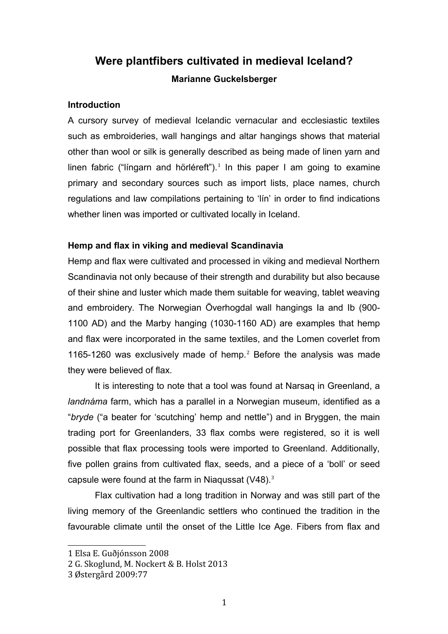# **Were plantfibers cultivated in medieval Iceland? Marianne Guckelsberger**

## **Introduction**

A cursory survey of medieval Icelandic vernacular and ecclesiastic textiles such as embroideries, wall hangings and altar hangings shows that material other than wool or silk is generally described as being made of linen yarn and linen fabric ("lingarn and hörléreft").<sup>[1](#page-0-0)</sup> In this paper I am going to examine primary and secondary sources such as import lists, place names, church regulations and law compilations pertaining to 'lín' in order to find indications whether linen was imported or cultivated locally in Iceland.

# **Hemp and flax in viking and medieval Scandinavia**

Hemp and flax were cultivated and processed in viking and medieval Northern Scandinavia not only because of their strength and durability but also because of their shine and luster which made them suitable for weaving, tablet weaving and embroidery. The Norwegian Överhogdal wall hangings Ia and Ib (900- 1100 AD) and the Marby hanging (1030-1160 AD) are examples that hemp and flax were incorporated in the same textiles, and the Lomen coverlet from 1165-1[2](#page-0-1)60 was exclusively made of hemp.<sup>2</sup> Before the analysis was made they were believed of flax.

It is interesting to note that a tool was found at Narsaq in Greenland, a *landnáma* farm, which has a parallel in a Norwegian museum, identified as a "*bryde* ("a beater for 'scutching' hemp and nettle") and in Bryggen, the main trading port for Greenlanders, 33 flax combs were registered, so it is well possible that flax processing tools were imported to Greenland. Additionally, five pollen grains from cultivated flax, seeds, and a piece of a 'boll' or seed capsule were found at the farm in Niagussat  $(V48)^3$  $(V48)^3$ 

Flax cultivation had a long tradition in Norway and was still part of the living memory of the Greenlandic settlers who continued the tradition in the favourable climate until the onset of the Little Ice Age. Fibers from flax and

<span id="page-0-0"></span><sup>1</sup> Elsa E. Guðjónsson 2008

<span id="page-0-1"></span><sup>2</sup> G. Skoglund, M. Nockert & B. Holst 2013

<span id="page-0-2"></span><sup>3</sup> Østergård 2009:77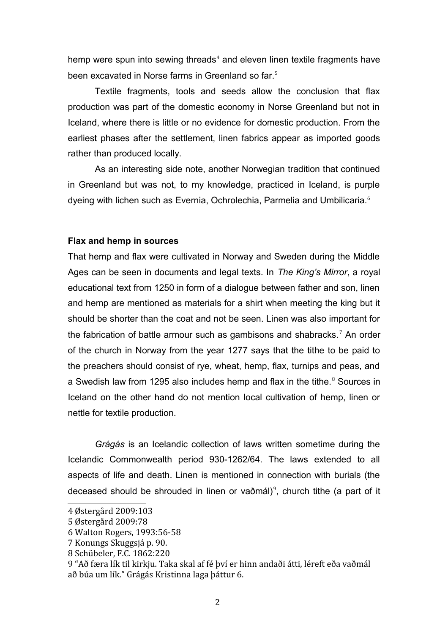hemp were spun into sewing threads<sup>[4](#page-1-0)</sup> and eleven linen textile fragments have been excavated in Norse farms in Greenland so far.<sup>[5](#page-1-1)</sup>

Textile fragments, tools and seeds allow the conclusion that flax production was part of the domestic economy in Norse Greenland but not in Iceland, where there is little or no evidence for domestic production. From the earliest phases after the settlement, linen fabrics appear as imported goods rather than produced locally.

As an interesting side note, another Norwegian tradition that continued in Greenland but was not, to my knowledge, practiced in Iceland, is purple dyeing with lichen such as Evernia, Ochrolechia, Parmelia and Umbilicaria.<sup>[6](#page-1-2)</sup>

#### **Flax and hemp in sources**

That hemp and flax were cultivated in Norway and Sweden during the Middle Ages can be seen in documents and legal texts. In *The King's Mirror*, a royal educational text from 1250 in form of a dialogue between father and son, linen and hemp are mentioned as materials for a shirt when meeting the king but it should be shorter than the coat and not be seen. Linen was also important for the fabrication of battle armour such as gambisons and shabracks.<sup>[7](#page-1-3)</sup> An order of the church in Norway from the year 1277 says that the tithe to be paid to the preachers should consist of rye, wheat, hemp, flax, turnips and peas, and a Swedish law from 1295 also includes hemp and flax in the tithe. $8$  Sources in Iceland on the other hand do not mention local cultivation of hemp, linen or nettle for textile production.

*Grágás* is an Icelandic collection of laws written sometime during the Icelandic Commonwealth period 930-1262/64. The laws extended to all aspects of life and death. Linen is mentioned in connection with burials (the deceased should be shrouded in linen or vaðmál)<sup>[9](#page-1-5)</sup>, church tithe (a part of it

<span id="page-1-0"></span><sup>4</sup> Østergård 2009:103

<span id="page-1-1"></span><sup>5</sup> Østergård 2009:78

<span id="page-1-2"></span><sup>6</sup> Walton Rogers, 1993:56-58

<span id="page-1-3"></span><sup>7</sup> Konungs Skuggsjá p. 90.

<span id="page-1-4"></span><sup>8</sup> Schübeler, F.C. 1862:220

<span id="page-1-5"></span><sup>9 &</sup>quot;Að færa lík til kirkju. Taka skal af fé því er hinn andaði átti, léreft eða vaðmál að búa um lík." Grágás Kristinna laga þáttur 6.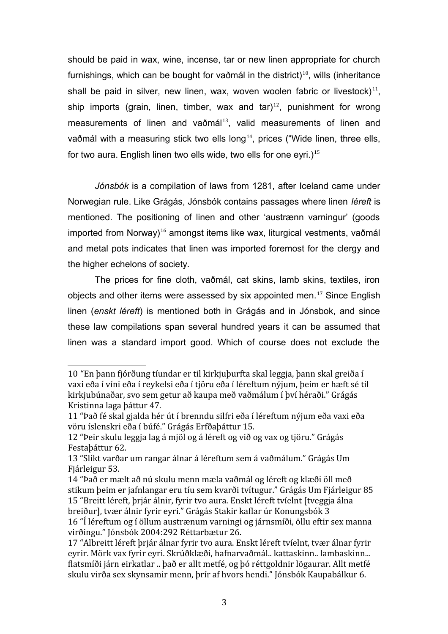should be paid in wax, wine, incense, tar or new linen appropriate for church furnishings, which can be bought for vaðmál in the district) $10$ , wills (inheritance shall be paid in silver, new linen, wax, woven woolen fabric or livestock) $^{11}$  $^{11}$  $^{11}$ , ship imports (grain, linen, timber, wax and  $\tan 12$  $\tan 12$ , punishment for wrong measurements of linen and vaðmál<sup>[13](#page-2-3)</sup>, valid measurements of linen and vaðmál with a measuring stick two ells long<sup>[14](#page-2-4)</sup>, prices ("Wide linen, three ells, for two aura. English linen two ells wide, two ells for one eyri.)<sup>[15](#page-2-5)</sup>

*Jónsbók* is a compilation of laws from 1281, after Iceland came under Norwegian rule. Like Grágás, Jónsbók contains passages where linen *léreft* is mentioned. The positioning of linen and other 'austrænn varningur' (goods imported from Norway)<sup>[16](#page-2-6)</sup> amongst items like wax, liturgical vestments, vað mál and metal pots indicates that linen was imported foremost for the clergy and the higher echelons of society.

The prices for fine cloth, vaðmál, cat skins, lamb skins, textiles, iron objects and other items were assessed by six appointed men.<sup>[17](#page-2-7)</sup> Since English linen (*enskt léreft*) is mentioned both in Grágás and in Jónsbok, and since these law compilations span several hundred years it can be assumed that linen was a standard import good. Which of course does not exclude the

<span id="page-2-0"></span><sup>10</sup> "En þann fjórðung tíundar er til kirkjuþurfta skal leggja, þann skal greiða í vaxi eða í víni eða í reykelsi eða í tjöru eða í léreftum nýjum, þeim er hæft sé til kirkjubúnaðar, svo sem getur að kaupa með vaðmálum í því héraði." Grágás Kristinna laga þáttur 47.

<span id="page-2-1"></span><sup>11</sup> "Það fé skal gjalda hér út í brenndu silfri eða í léreftum nýjum eða vaxi eða vöru íslenskri eða í búfé." Grágás Erfðaþáttur 15.

<span id="page-2-2"></span><sup>12</sup> "Þeir skulu leggja lag á mjöl og á léreft og við og vax og tjöru." Grágás Festaþáttur 62.

<span id="page-2-3"></span><sup>13</sup> "Slíkt varðar um rangar álnar á léreftum sem á vaðmálum." Grágás Um Fjárleigur 53.

<span id="page-2-5"></span><span id="page-2-4"></span><sup>14</sup> "Það er mælt að nú skulu menn mæla vaðmál og léreft og klæði öll með stikum þeim er jafnlangar eru tíu sem kvarði tvítugur." Grágás Um Fjárleigur 85 15 "Breitt léreft, þrjár álnir, fyrir tvo aura. Enskt léreft tvíelnt [tveggja álna breiður], tvær álnir fyrir eyri." Grágás Stakir kaflar úr Konungsbók 3

<span id="page-2-6"></span><sup>16</sup> "Í léreftum og í öllum austrænum varningi og járnsmíði, öllu eftir sex manna virðingu." Jónsbók 2004:292 Réttarbætur 26.

<span id="page-2-7"></span><sup>17</sup> "Albreitt léreft þrjár álnar fyrir tvo aura. Enskt léreft tvíelnt, tvær álnar fyrir eyrir. Mörk vax fyrir eyri. Skrúðklæði, hafnarvaðmál.. kattaskinn.. lambaskinn... flatsmíði járn eirkatlar .. það er allt metfé, og þó réttgoldnir lögaurar. Allt metfé skulu virða sex skynsamir menn, þrír af hvors hendi." Jónsbók Kaupabálkur 6.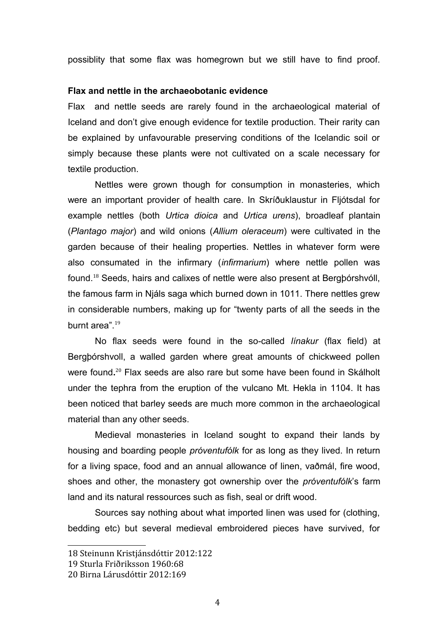possiblity that some flax was homegrown but we still have to find proof.

#### **Flax and nettle in the archaeobotanic evidence**

Flax and nettle seeds are rarely found in the archaeological material of Iceland and don't give enough evidence for textile production. Their rarity can be explained by unfavourable preserving conditions of the Icelandic soil or simply because these plants were not cultivated on a scale necessary for textile production.

Nettles were grown though for consumption in monasteries, which were an important provider of health care. In Skríðuklaustur in Fljótsdal for example nettles (both *Urtica dioica* and *Urtica urens*), broadleaf plantain (*Plantago major*) and wild onions (*Allium oleraceum*) were cultivated in the garden because of their healing properties. Nettles in whatever form were also consumated in the infirmary (*infirmarium*) where nettle pollen was found.[18](#page-3-0) Seeds, hairs and calixes of nettle were also present at Bergþórshvóll, the famous farm in Njáls saga which burned down in 1011. There nettles grew in considerable numbers, making up for "twenty parts of all the seeds in the burnt area".<sup>[19](#page-3-1)</sup>

No flax seeds were found in the so-called *línakur* (flax field) at Bergþórshvoll, a walled garden where great amounts of chickweed pollen were found**.** [20](#page-3-2) Flax seeds are also rare but some have been found in Skálholt under the tephra from the eruption of the vulcano Mt. Hekla in 1104. It has been noticed that barley seeds are much more common in the archaeological material than any other seeds.

Medieval monasteries in Iceland sought to expand their lands by housing and boarding people *próventufólk* for as long as they lived. In return for a living space, food and an annual allowance of linen, vaðmál, fire wood, shoes and other, the monastery got ownership over the *próventufólk*'s farm land and its natural ressources such as fish, seal or drift wood.

Sources say nothing about what imported linen was used for (clothing, bedding etc) but several medieval embroidered pieces have survived, for

<span id="page-3-0"></span><sup>18</sup> Steinunn Kristjánsdóttir 2012:122

<span id="page-3-1"></span><sup>19</sup> Sturla Friðriksson 1960:68

<span id="page-3-2"></span><sup>20</sup> Birna Lárusdóttir 2012:169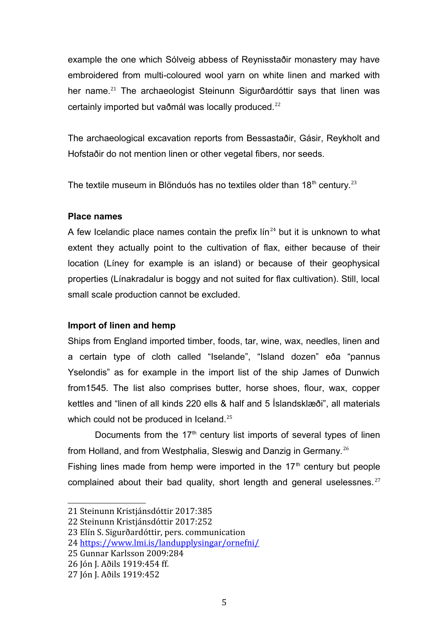example the one which Sólveig abbess of Reynisstaðir monastery may have embroidered from multi-coloured wool yarn on white linen and marked with her name.<sup>[21](#page-4-0)</sup> The archaeologist Steinunn Sigurðardóttir says that linen was certainly imported but vaðmál was locally produced.<sup>[22](#page-4-1)</sup>

The archaeological excavation reports from Bessastaðir, Gásir, Reykholt and Hofstaðir do not mention linen or other vegetal fibers, nor seeds.

The textile museum in Blönduós has no textiles older than 18<sup>th</sup> century.<sup>[23](#page-4-2)</sup>

# **Place names**

A few Icelandic place names contain the prefix  $\lim_{x \to 0} 24$  $\lim_{x \to 0} 24$  but it is unknown to what extent they actually point to the cultivation of flax, either because of their location (Líney for example is an island) or because of their geophysical properties (Línakradalur is boggy and not suited for flax cultivation). Still, local small scale production cannot be excluded.

# **Import of linen and hemp**

Ships from England imported timber, foods, tar, wine, wax, needles, linen and a certain type of cloth called "Iselande", "Island dozen" eða "pannus Yselondis" as for example in the import list of the ship James of Dunwich from1545. The list also comprises butter, horse shoes, flour, wax, copper kettles and "linen of all kinds 220 ells & half and 5 Íslandsklæði", all materials which could not be produced in Iceland.<sup>[25](#page-4-4)</sup>

Documents from the  $17<sup>th</sup>$  century list imports of several types of linen from Holland, and from Westphalia, Sleswig and Danzig in Germany.<sup>[26](#page-4-5)</sup> Fishing lines made from hemp were imported in the  $17<sup>th</sup>$  century but people complained about their bad quality, short length and general uselessnes.<sup>[27](#page-4-6)</sup>

<span id="page-4-5"></span>26 Jón J. Aðils 1919:454 ff.

<span id="page-4-0"></span><sup>21</sup> Steinunn Kristjánsdóttir 2017:385

<span id="page-4-1"></span><sup>22</sup> Steinunn Kristjánsdóttir 2017:252

<span id="page-4-2"></span><sup>23</sup> Elín S. Sigurðardóttir, pers. communication

<span id="page-4-3"></span><sup>24</sup> <https://www.lmi.is/landupplysingar/ornefni/>

<span id="page-4-4"></span><sup>25</sup> Gunnar Karlsson 2009:284

<span id="page-4-6"></span><sup>27</sup> Jón J. Aðils 1919:452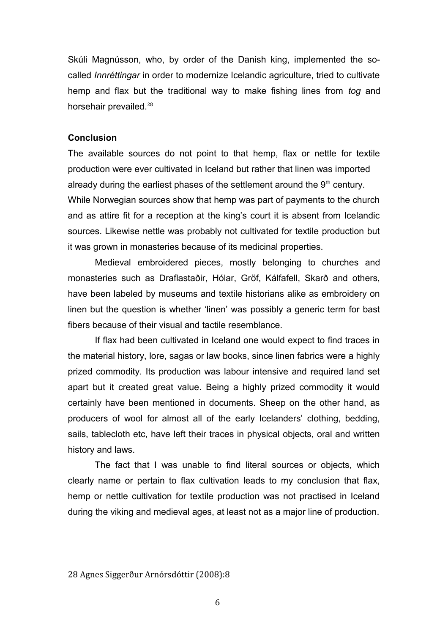Skúli Magnússon, who, by order of the Danish king, implemented the socalled *Innréttingar* in order to modernize Icelandic agriculture, tried to cultivate hemp and flax but the traditional way to make fishing lines from *tog* and horsehair prevailed.[28](#page-5-0)

### **Conclusion**

The available sources do not point to that hemp, flax or nettle for textile production were ever cultivated in Iceland but rather that linen was imported already during the earliest phases of the settlement around the  $9<sup>th</sup>$  century. While Norwegian sources show that hemp was part of payments to the church and as attire fit for a reception at the king's court it is absent from Icelandic sources. Likewise nettle was probably not cultivated for textile production but it was grown in monasteries because of its medicinal properties.

Medieval embroidered pieces, mostly belonging to churches and monasteries such as Draflastaðir, Hólar, Gröf, Kálfafell, Skarð and others, have been labeled by museums and textile historians alike as embroidery on linen but the question is whether 'linen' was possibly a generic term for bast fibers because of their visual and tactile resemblance.

If flax had been cultivated in Iceland one would expect to find traces in the material history, lore, sagas or law books, since linen fabrics were a highly prized commodity. Its production was labour intensive and required land set apart but it created great value. Being a highly prized commodity it would certainly have been mentioned in documents. Sheep on the other hand, as producers of wool for almost all of the early Icelanders' clothing, bedding, sails, tablecloth etc, have left their traces in physical objects, oral and written history and laws.

The fact that I was unable to find literal sources or objects, which clearly name or pertain to flax cultivation leads to my conclusion that flax, hemp or nettle cultivation for textile production was not practised in Iceland during the viking and medieval ages, at least not as a major line of production.

<span id="page-5-0"></span><sup>28</sup> Agnes Siggerður Arnórsdóttir (2008):8